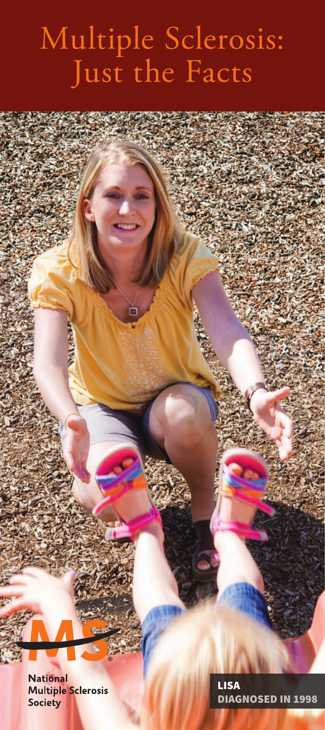# Multiple Sclerosis: Just the Facts

**National Multiple Sclerosis Society** 

LISA DIAGNOSED IN 1998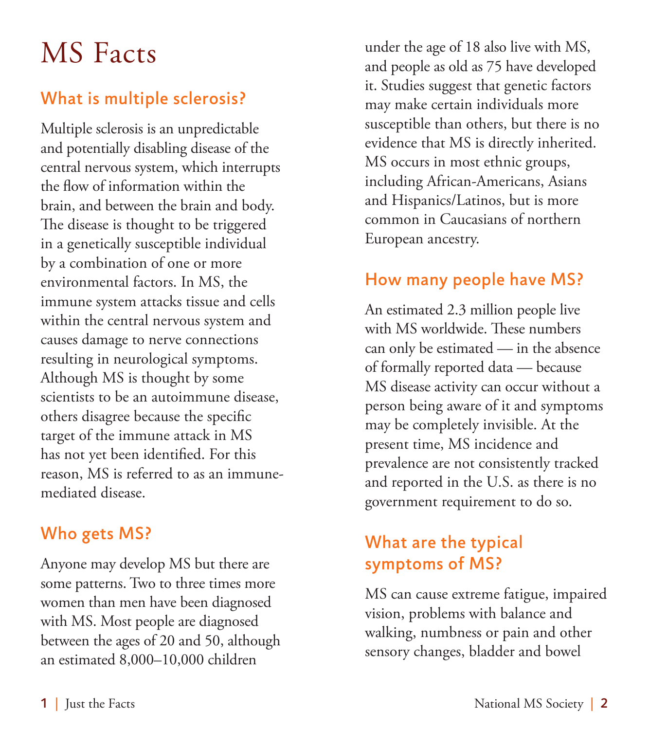# MS Facts

## What is multiple sclerosis?

Multiple sclerosis is an unpredictable and potentially disabling disease of the central nervous system, which interrupts the flow of information within the brain, and between the brain and body. The disease is thought to be triggered in a genetically susceptible individual by a combination of one or more environmental factors. In MS, the immune system attacks tissue and cells within the central nervous system and causes damage to nerve connections resulting in neurological symptoms. Although MS is thought by some scientists to be an autoimmune disease, others disagree because the specific target of the immune attack in MS has not yet been identified. For this reason, MS is referred to as an immunemediated disease.

## Who gets MS?

Anyone may develop MS but there are some patterns. Two to three times more women than men have been diagnosed with MS. Most people are diagnosed between the ages of 20 and 50, although an estimated 8,000–10,000 children

under the age of 18 also live with MS, and people as old as 75 have developed it. Studies suggest that genetic factors may make certain individuals more susceptible than others, but there is no evidence that MS is directly inherited. MS occurs in most ethnic groups, including African-Americans, Asians and Hispanics/Latinos, but is more common in Caucasians of northern European ancestry.

## How many people have MS?

An estimated 2.3 million people live with MS worldwide. These numbers can only be estimated — in the absence of formally reported data — because MS disease activity can occur without a person being aware of it and symptoms may be completely invisible. At the present time, MS incidence and prevalence are not consistently tracked and reported in the U.S. as there is no government requirement to do so.

## What are the typical symptoms of MS?

MS can cause extreme fatigue, impaired vision, problems with balance and walking, numbness or pain and other sensory changes, bladder and bowel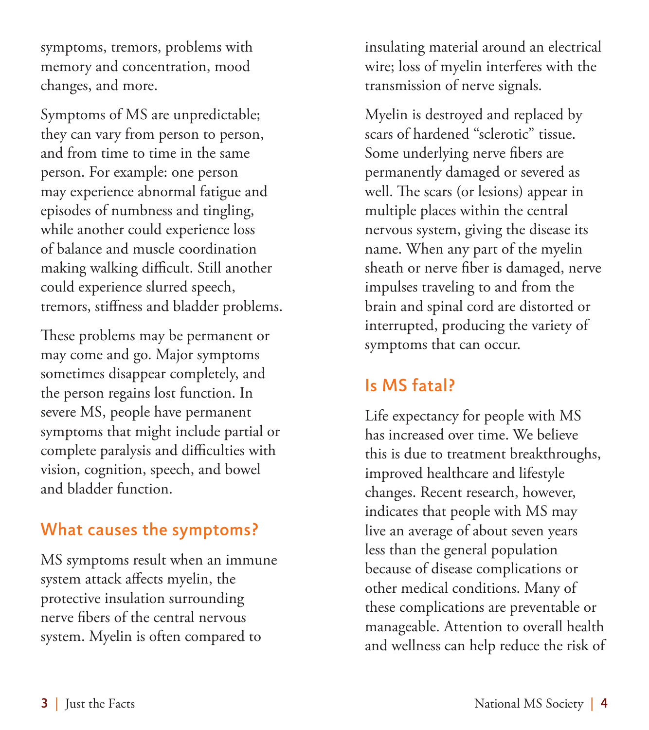symptoms, tremors, problems with memory and concentration, mood changes, and more.

Symptoms of MS are unpredictable; they can vary from person to person, and from time to time in the same person. For example: one person may experience abnormal fatigue and episodes of numbness and tingling, while another could experience loss of balance and muscle coordination making walking difficult. Still another could experience slurred speech, tremors, stiffness and bladder problems.

These problems may be permanent or may come and go. Major symptoms sometimes disappear completely, and the person regains lost function. In severe MS, people have permanent symptoms that might include partial or complete paralysis and difficulties with vision, cognition, speech, and bowel and bladder function.

## What causes the symptoms?

MS symptoms result when an immune system attack affects myelin, the protective insulation surrounding nerve fibers of the central nervous system. Myelin is often compared to

insulating material around an electrical wire; loss of myelin interferes with the transmission of nerve signals.

Myelin is destroyed and replaced by scars of hardened "sclerotic" tissue. Some underlying nerve fibers are permanently damaged or severed as well. The scars (or lesions) appear in multiple places within the central nervous system, giving the disease its name. When any part of the myelin sheath or nerve fiber is damaged, nerve impulses traveling to and from the brain and spinal cord are distorted or interrupted, producing the variety of symptoms that can occur.

## Is MS fatal?

Life expectancy for people with MS has increased over time. We believe this is due to treatment breakthroughs, improved healthcare and lifestyle changes. Recent research, however, indicates that people with MS may live an average of about seven years less than the general population because of disease complications or other medical conditions. Many of these complications are preventable or manageable. Attention to overall health and wellness can help reduce the risk of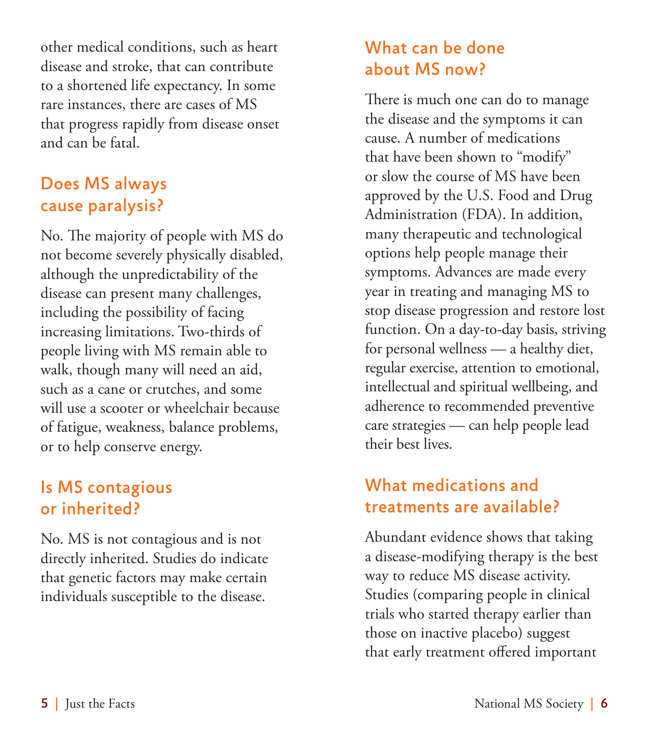other medical conditions, such as heart disease and stroke, that can contribute to a shortened life expectancy. In some rare instances, there are cases of MS that progress rapidly from disease onset and can be fatal.

## Does MS always cause paralysis?

No. The majority of people with MS do not become severely physically disabled, although the unpredictability of the disease can present many challenges, including the possibility of facing increasing limitations. Two-thirds of people living with MS remain able to walk, though many will need an aid, such as a cane or crutches, and some will use a scooter or wheelchair because of fatigue, weakness, balance problems, or to help conserve energy.

## Is MS contagious or inherited?

No. MS is not contagious and is not directly inherited. Studies do indicate that genetic factors may make certain individuals susceptible to the disease.

## What can be done about MS now?

There is much one can do to manage the disease and the symptoms it can cause. A number of medications that have been shown to "modify" or slow the course of MS have been approved by the U.S. Food and Drug Administration (FDA). In addition, many therapeutic and technological options help people manage their symptoms. Advances are made every year in treating and managing MS to stop disease progression and restore lost function. On a day-to-day basis, striving for personal wellness — a healthy diet, regular exercise, attention to emotional, intellectual and spiritual wellbeing, and adherence to recommended preventive care strategies — can help people lead their best lives.

## What medications and treatments are available?

Abundant evidence shows that taking a disease-modifying therapy is the best way to reduce MS disease activity. Studies (comparing people in clinical trials who started therapy earlier than those on inactive placebo) suggest that early treatment offered important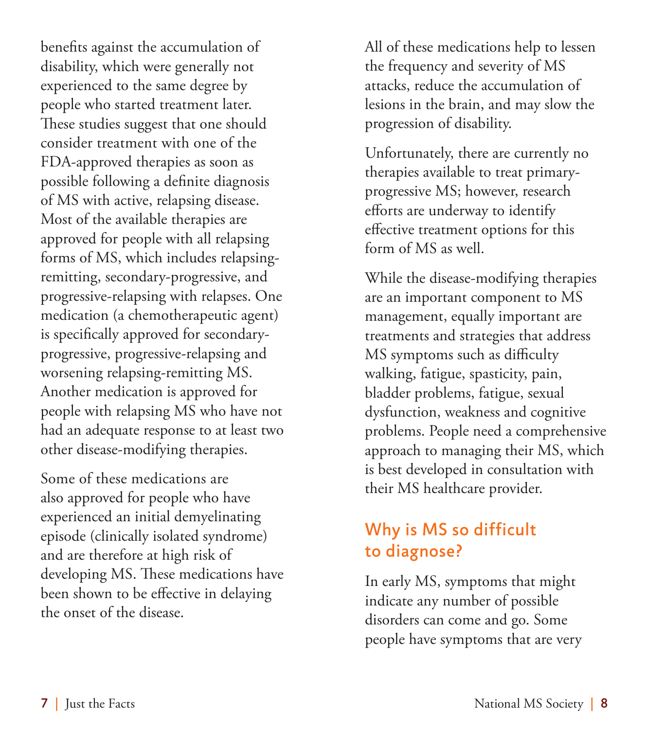benefits against the accumulation of disability, which were generally not experienced to the same degree by people who started treatment later. These studies suggest that one should consider treatment with one of the FDA-approved therapies as soon as possible following a definite diagnosis of MS with active, relapsing disease. Most of the available therapies are approved for people with all relapsing forms of MS, which includes relapsingremitting, secondary-progressive, and progressive-relapsing with relapses. One medication (a chemotherapeutic agent) is specifically approved for secondaryprogressive, progressive-relapsing and worsening relapsing-remitting MS. Another medication is approved for people with relapsing MS who have not had an adequate response to at least two other disease-modifying therapies.

Some of these medications are also approved for people who have experienced an initial demyelinating episode (clinically isolated syndrome) and are therefore at high risk of developing MS. These medications have been shown to be effective in delaying the onset of the disease.

All of these medications help to lessen the frequency and severity of MS attacks, reduce the accumulation of lesions in the brain, and may slow the progression of disability.

Unfortunately, there are currently no therapies available to treat primaryprogressive MS; however, research efforts are underway to identify effective treatment options for this form of MS as well.

While the disease-modifying therapies are an important component to MS management, equally important are treatments and strategies that address MS symptoms such as difficulty walking, fatigue, spasticity, pain, bladder problems, fatigue, sexual dysfunction, weakness and cognitive problems. People need a comprehensive approach to managing their MS, which is best developed in consultation with their MS healthcare provider.

## Why is MS so difficult to diagnose?

In early MS, symptoms that might indicate any number of possible disorders can come and go. Some people have symptoms that are very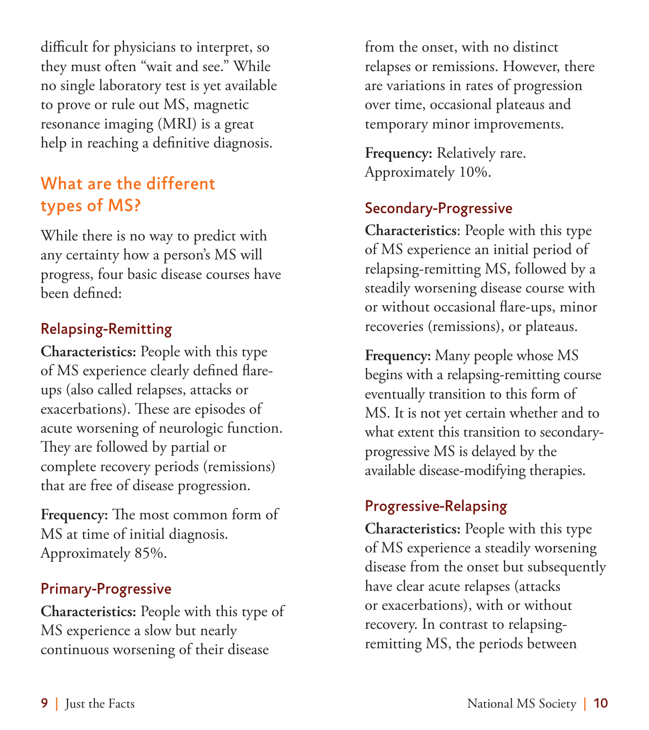difficult for physicians to interpret, so they must often "wait and see." While no single laboratory test is yet available to prove or rule out MS, magnetic resonance imaging (MRI) is a great help in reaching a definitive diagnosis.

## What are the different types of MS?

While there is no way to predict with any certainty how a person's MS will progress, four basic disease courses have been defined:

#### Relapsing-Remitting

**Characteristics:** People with this type of MS experience clearly defined flareups (also called relapses, attacks or exacerbations). These are episodes of acute worsening of neurologic function. They are followed by partial or complete recovery periods (remissions) that are free of disease progression.

**Frequency:** The most common form of MS at time of initial diagnosis. Approximately 85%.

#### Primary-Progressive

**Characteristics:** People with this type of MS experience a slow but nearly continuous worsening of their disease

from the onset, with no distinct relapses or remissions. However, there are variations in rates of progression over time, occasional plateaus and temporary minor improvements.

**Frequency:** Relatively rare. Approximately 10%.

## Secondary-Progressive

**Characteristics**: People with this type of MS experience an initial period of relapsing-remitting MS, followed by a steadily worsening disease course with or without occasional flare-ups, minor recoveries (remissions), or plateaus.

**Frequency:** Many people whose MS begins with a relapsing-remitting course eventually transition to this form of MS. It is not yet certain whether and to what extent this transition to secondaryprogressive MS is delayed by the available disease-modifying therapies.

## Progressive-Relapsing

**Characteristics:** People with this type of MS experience a steadily worsening disease from the onset but subsequently have clear acute relapses (attacks or exacerbations), with or without recovery. In contrast to relapsingremitting MS, the periods between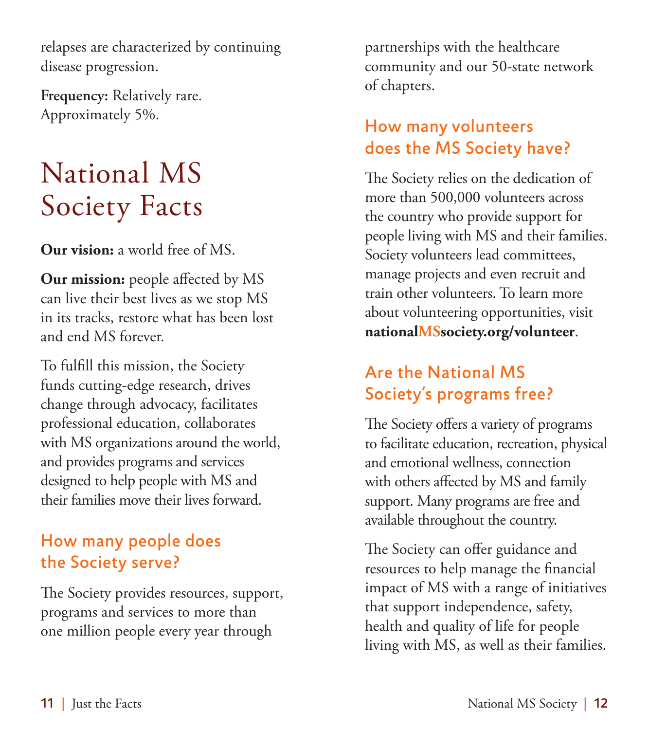relapses are characterized by continuing disease progression.

**Frequency:** Relatively rare. Approximately 5%.

## National MS Society Facts

**Our vision:** a world free of MS.

**Our mission:** people affected by MS can live their best lives as we stop MS in its tracks, restore what has been lost and end MS forever.

To fulfill this mission, the Society funds cutting-edge research, drives change through advocacy, facilitates professional education, collaborates with MS organizations around the world, and provides programs and services designed to help people with MS and their families move their lives forward.

## How many people does the Society serve?

The Society provides resources, support, programs and services to more than one million people every year through

partnerships with the healthcare community and our 50-state network of chapters.

## How many volunteers does the MS Society have?

The Society relies on the dedication of more than 500,000 volunteers across the country who provide support for people living with MS and their families. Society volunteers lead committees, manage projects and even recruit and train other volunteers. To learn more about volunteering opportunities, visit **nationalMSsociety.org/volunteer**.

## Are the National MS Society's programs free?

The Society offers a variety of programs to facilitate education, recreation, physical and emotional wellness, connection with others affected by MS and family support. Many programs are free and available throughout the country.

The Society can offer guidance and resources to help manage the financial impact of MS with a range of initiatives that support independence, safety, health and quality of life for people living with MS, as well as their families.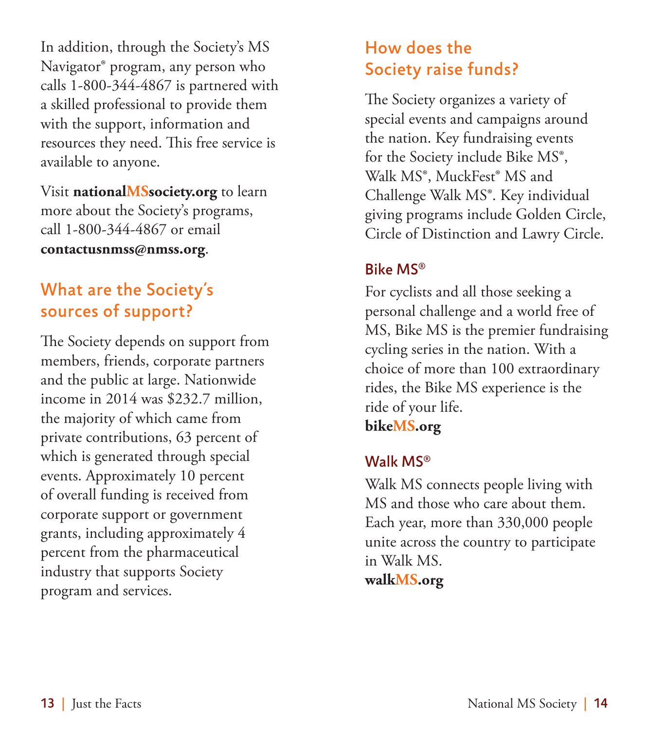In addition, through the Society's MS Navigator® program, any person who calls 1-800-344-4867 is partnered with a skilled professional to provide them with the support, information and resources they need. This free service is available to anyone.

Visit **nationalMSsociety.org** to learn more about the Society's programs, call 1-800-344-4867 or email **contactusnmss@nmss.org**.

## What are the Society's sources of support?

The Society depends on support from members, friends, corporate partners and the public at large. Nationwide income in 2014 was \$232.7 million, the majority of which came from private contributions, 63 percent of which is generated through special events. Approximately 10 percent of overall funding is received from corporate support or government grants, including approximately 4 percent from the pharmaceutical industry that supports Society program and services.

## How does the Society raise funds?

The Society organizes a variety of special events and campaigns around the nation. Key fundraising events for the Society include Bike MS®, Walk MS®, MuckFest® MS and Challenge Walk MS®. Key individual giving programs include Golden Circle, Circle of Distinction and Lawry Circle.

#### Bike MS®

For cyclists and all those seeking a personal challenge and a world free of MS, Bike MS is the premier fundraising cycling series in the nation. With a choice of more than 100 extraordinary rides, the Bike MS experience is the ride of your life.

**bikeMS.org**

## Walk MS®

Walk MS connects people living with MS and those who care about them. Each year, more than 330,000 people unite across the country to participate in Walk MS.

**walkMS.org**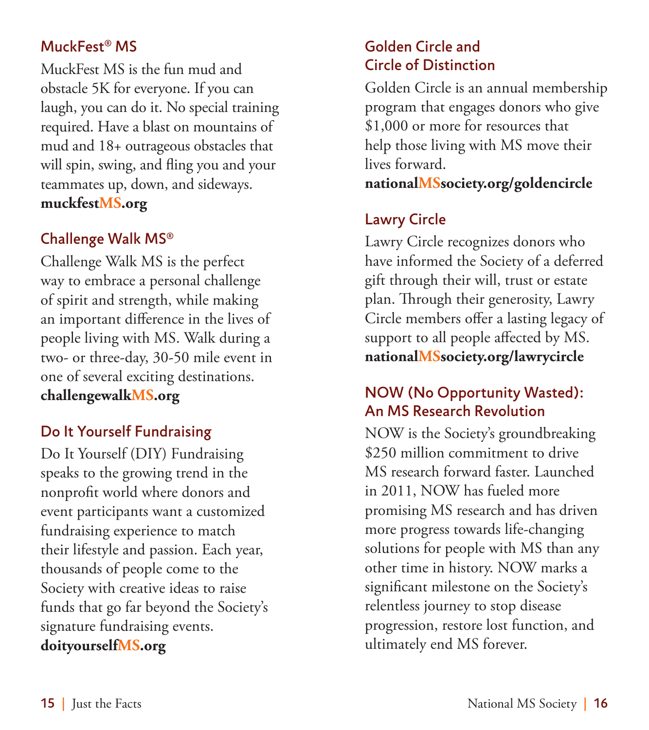#### MuckFest® MS

MuckFest MS is the fun mud and obstacle 5K for everyone. If you can laugh, you can do it. No special training required. Have a blast on mountains of mud and 18+ outrageous obstacles that will spin, swing, and fling you and your teammates up, down, and sideways. **muckfestMS.org**

#### Challenge Walk MS®

Challenge Walk MS is the perfect way to embrace a personal challenge of spirit and strength, while making an important difference in the lives of people living with MS. Walk during a two- or three-day, 30-50 mile event in one of several exciting destinations. **challengewalkMS.org**

## Do It Yourself Fundraising

Do It Yourself (DIY) Fundraising speaks to the growing trend in the nonprofit world where donors and event participants want a customized fundraising experience to match their lifestyle and passion. Each year, thousands of people come to the Society with creative ideas to raise funds that go far beyond the Society's signature fundraising events. **doityourselfMS.org**

#### Golden Circle and Circle of Distinction

Golden Circle is an annual membership program that engages donors who give \$1,000 or more for resources that help those living with MS move their lives forward.

**nationalMSsociety.org/goldencircle**

#### Lawry Circle

Lawry Circle recognizes donors who have informed the Society of a deferred gift through their will, trust or estate plan. Through their generosity, Lawry Circle members offer a lasting legacy of support to all people affected by MS. **nationalMSsociety.org/lawrycircle**

#### NOW (No Opportunity Wasted): An MS Research Revolution

NOW is the Society's groundbreaking \$250 million commitment to drive MS research forward faster. Launched in 2011, NOW has fueled more promising MS research and has driven more progress towards life-changing solutions for people with MS than any other time in history. NOW marks a significant milestone on the Society's relentless journey to stop disease progression, restore lost function, and ultimately end MS forever.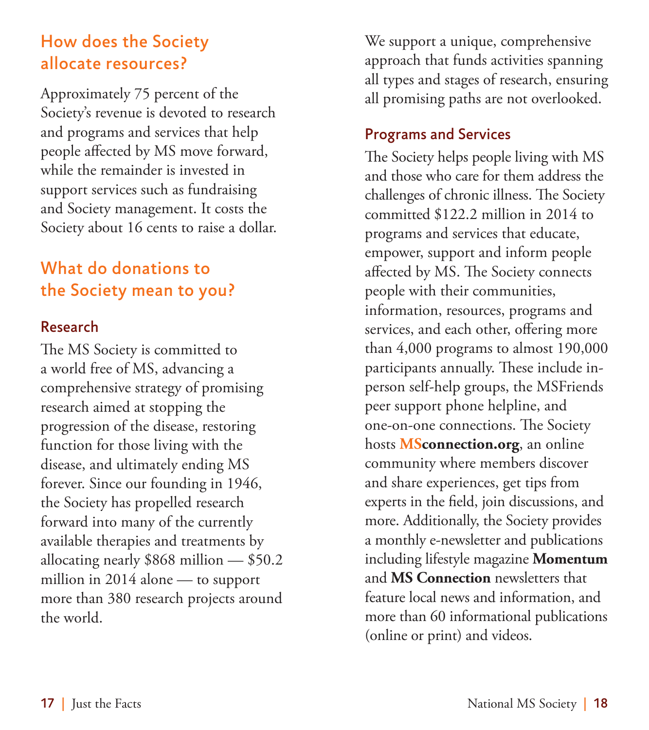## How does the Society allocate resources?

Approximately 75 percent of the Society's revenue is devoted to research and programs and services that help people affected by MS move forward, while the remainder is invested in support services such as fundraising and Society management. It costs the Society about 16 cents to raise a dollar.

## What do donations to the Society mean to you?

#### Research

The MS Society is committed to a world free of MS, advancing a comprehensive strategy of promising research aimed at stopping the progression of the disease, restoring function for those living with the disease, and ultimately ending MS forever. Since our founding in 1946, the Society has propelled research forward into many of the currently available therapies and treatments by allocating nearly \$868 million — \$50.2 million in 2014 alone — to support more than 380 research projects around the world.

We support a unique, comprehensive approach that funds activities spanning all types and stages of research, ensuring all promising paths are not overlooked.

#### Programs and Services

The Society helps people living with MS and those who care for them address the challenges of chronic illness. The Society committed \$122.2 million in 2014 to programs and services that educate, empower, support and inform people affected by MS. The Society connects people with their communities, information, resources, programs and services, and each other, offering more than 4,000 programs to almost 190,000 participants annually. These include inperson self-help groups, the MSFriends peer support phone helpline, and one-on-one connections. The Society hosts **MSconnection.org**, an online community where members discover and share experiences, get tips from experts in the field, join discussions, and more. Additionally, the Society provides a monthly e-newsletter and publications including lifestyle magazine **Momentum** and **MS Connection** newsletters that feature local news and information, and more than 60 informational publications (online or print) and videos.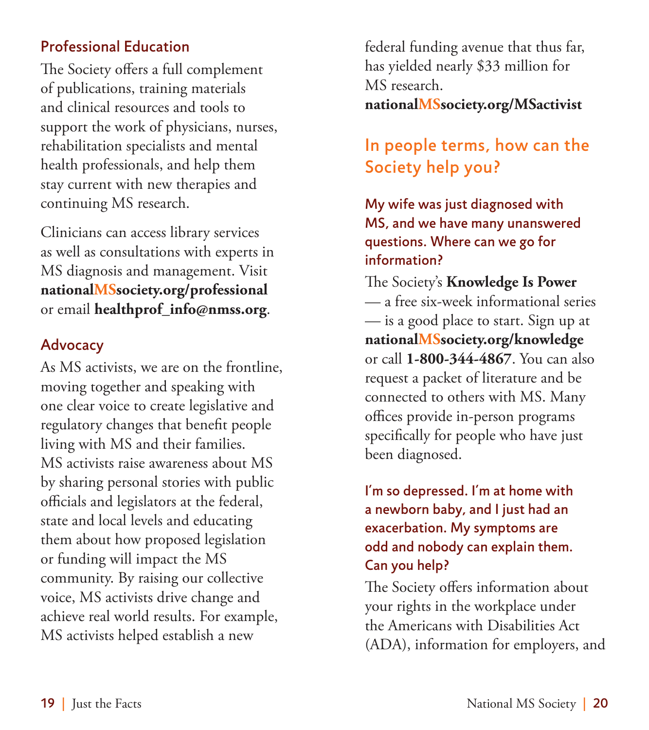#### Professional Education

The Society offers a full complement of publications, training materials and clinical resources and tools to support the work of physicians, nurses, rehabilitation specialists and mental health professionals, and help them stay current with new therapies and continuing MS research.

Clinicians can access library services as well as consultations with experts in MS diagnosis and management. Visit **nationalMSsociety.org/professional** or email **healthprof\_info@nmss.org**.

#### Advocacy

As MS activists, we are on the frontline, moving together and speaking with one clear voice to create legislative and regulatory changes that benefit people living with MS and their families. MS activists raise awareness about MS by sharing personal stories with public officials and legislators at the federal, state and local levels and educating them about how proposed legislation or funding will impact the MS community. By raising our collective voice, MS activists drive change and achieve real world results. For example, MS activists helped establish a new

federal funding avenue that thus far, has yielded nearly \$33 million for MS research. **nationalMSsociety.org/MSactivist**

## In people terms, how can the Society help you?

#### My wife was just diagnosed with MS, and we have many unanswered questions. Where can we go for information?

The Society's **Knowledge Is Power**  — a free six-week informational series — is a good place to start. Sign up at **nationalMSsociety.org/knowledge** or call **1-800-344-4867**. You can also request a packet of literature and be connected to others with MS. Many offices provide in-person programs specifically for people who have just been diagnosed.

#### I'm so depressed. I'm at home with a newborn baby, and I just had an exacerbation. My symptoms are odd and nobody can explain them. Can you help?

The Society offers information about your rights in the workplace under the Americans with Disabilities Act (ADA), information for employers, and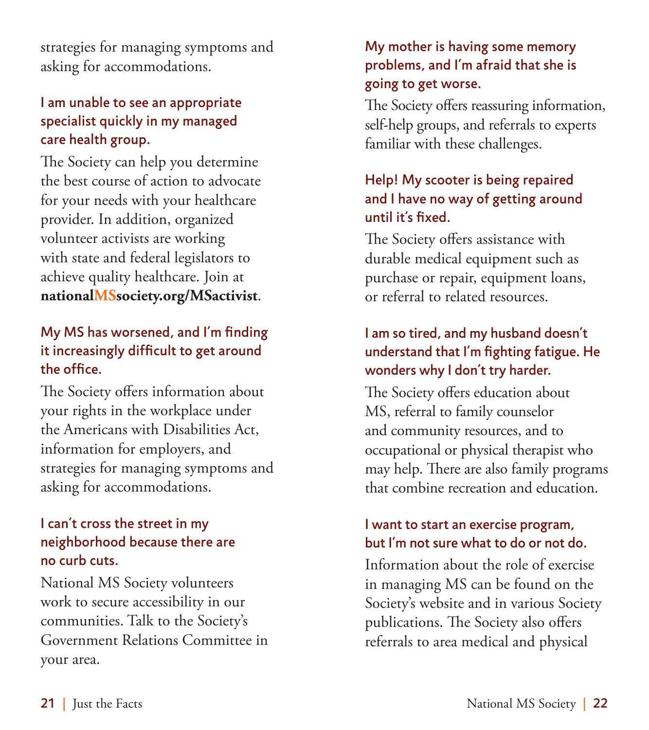strategies for managing symptoms and asking for accommodations.

#### I am unable to see an appropriate specialist quickly in my managed care health group.

The Society can help you determine the best course of action to advocate for your needs with your healthcare provider. In addition, organized volunteer activists are working with state and federal legislators to achieve quality healthcare. Join at **nationalMSsociety.org/MSactivist**.

#### My MS has worsened, and I'm finding it increasingly difficult to get around the office.

The Society offers information about your rights in the workplace under the Americans with Disabilities Act, information for employers, and strategies for managing symptoms and asking for accommodations.

#### I can't cross the street in my neighborhood because there are no curb cuts.

National MS Society volunteers work to secure accessibility in our communities. Talk to the Society's Government Relations Committee in your area.

#### My mother is having some memory problems, and I'm afraid that she is going to get worse.

The Society offers reassuring information, self-help groups, and referrals to experts familiar with these challenges.

#### Help! My scooter is being repaired and I have no way of getting around until it's fixed.

The Society offers assistance with durable medical equipment such as purchase or repair, equipment loans, or referral to related resources.

#### I am so tired, and my husband doesn't understand that I'm fighting fatigue. He wonders why I don't try harder.

The Society offers education about MS, referral to family counselor and community resources, and to occupational or physical therapist who may help. There are also family programs that combine recreation and education.

#### I want to start an exercise program, but I'm not sure what to do or not do.

Information about the role of exercise in managing MS can be found on the Society's website and in various Society publications. The Society also offers referrals to area medical and physical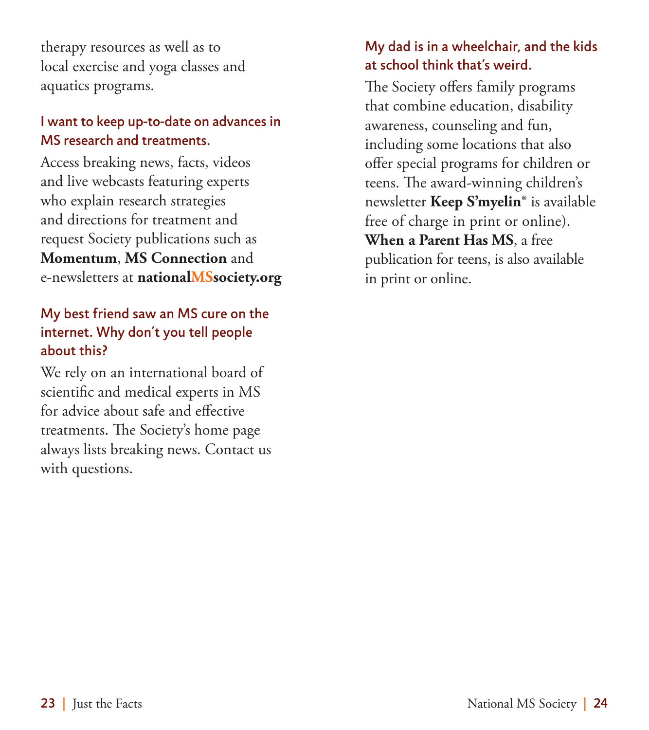therapy resources as well as to local exercise and yoga classes and aquatics programs.

#### I want to keep up-to-date on advances in MS research and treatments.

Access breaking news, facts, videos and live webcasts featuring experts who explain research strategies and directions for treatment and request Society publications such as **Momentum**, **MS Connection** and e-newsletters at **nationalMSsociety.org**

#### My best friend saw an MS cure on the internet. Why don't you tell people about this?

We rely on an international board of scientific and medical experts in MS for advice about safe and effective treatments. The Society's home page always lists breaking news. Contact us with questions.

#### My dad is in a wheelchair, and the kids at school think that's weird.

The Society offers family programs that combine education, disability awareness, counseling and fun, including some locations that also offer special programs for children or teens. The award-winning children's newsletter **Keep S'myelin®** is available free of charge in print or online). **When a Parent Has MS**, a free publication for teens, is also available in print or online.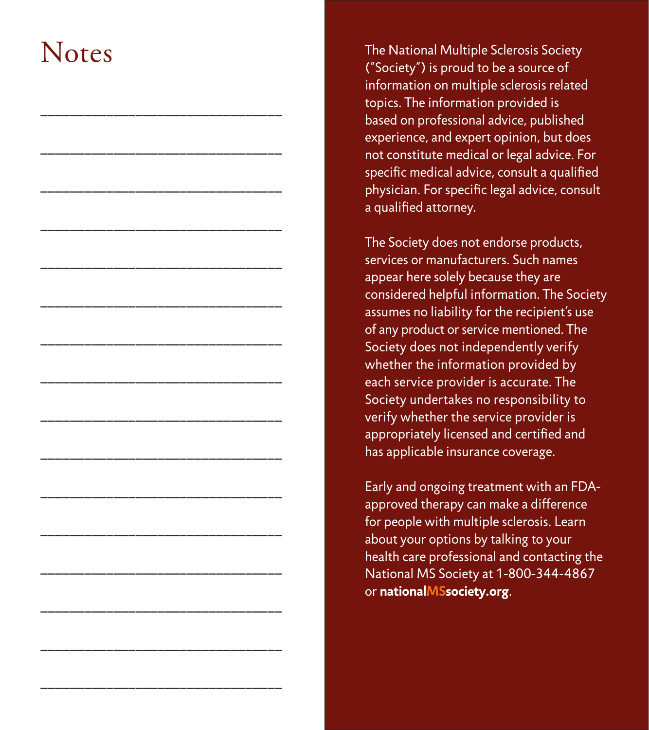## Notes

\_\_\_\_\_\_\_\_\_\_\_\_\_\_\_\_\_\_\_\_\_\_\_\_\_\_\_\_\_\_\_\_\_

\_\_\_\_\_\_\_\_\_\_\_\_\_\_\_\_\_\_\_\_\_\_\_\_\_\_\_\_\_\_\_\_\_

\_\_\_\_\_\_\_\_\_\_\_\_\_\_\_\_\_\_\_\_\_\_\_\_\_\_\_\_\_\_\_\_\_

\_\_\_\_\_\_\_\_\_\_\_\_\_\_\_\_\_\_\_\_\_\_\_\_\_\_\_\_\_\_\_\_\_

\_\_\_\_\_\_\_\_\_\_\_\_\_\_\_\_\_\_\_\_\_\_\_\_\_\_\_\_\_\_\_\_\_

\_\_\_\_\_\_\_\_\_\_\_\_\_\_\_\_\_\_\_\_\_\_\_\_\_\_\_\_\_\_\_\_\_

\_\_\_\_\_\_\_\_\_\_\_\_\_\_\_\_\_\_\_\_\_\_\_\_\_\_\_\_\_\_\_\_\_

\_\_\_\_\_\_\_\_\_\_\_\_\_\_\_\_\_\_\_\_\_\_\_\_\_\_\_\_\_\_\_\_\_

\_\_\_\_\_\_\_\_\_\_\_\_\_\_\_\_\_\_\_\_\_\_\_\_\_\_\_\_\_\_\_\_\_

\_\_\_\_\_\_\_\_\_\_\_\_\_\_\_\_\_\_\_\_\_\_\_\_\_\_\_\_\_\_\_\_\_

\_\_\_\_\_\_\_\_\_\_\_\_\_\_\_\_\_\_\_\_\_\_\_\_\_\_\_\_\_\_\_\_\_

\_\_\_\_\_\_\_\_\_\_\_\_\_\_\_\_\_\_\_\_\_\_\_\_\_\_\_\_\_\_\_\_\_

\_\_\_\_\_\_\_\_\_\_\_\_\_\_\_\_\_\_\_\_\_\_\_\_\_\_\_\_\_\_\_\_\_

\_\_\_\_\_\_\_\_\_\_\_\_\_\_\_\_\_\_\_\_\_\_\_\_\_\_\_\_\_\_\_\_\_

\_\_\_\_\_\_\_\_\_\_\_\_\_\_\_\_\_\_\_\_\_\_\_\_\_\_\_\_\_\_\_\_\_

\_\_\_\_\_\_\_\_\_\_\_\_\_\_\_\_\_\_\_\_\_\_\_\_\_\_\_\_\_\_\_\_\_

The National Multiple Sclerosis Society ("Society") is proud to be a source of information on multiple sclerosis related topics. The information provided is based on professional advice, published experience, and expert opinion, but does not constitute medical or legal advice. For specific medical advice, consult a qualified physician. For specific legal advice, consult a qualified attorney.

The Society does not endorse products, services or manufacturers. Such names appear here solely because they are considered helpful information. The Society assumes no liability for the recipient's use of any product or service mentioned. The Society does not independently verify whether the information provided by each service provider is accurate. The Society undertakes no responsibility to verify whether the service provider is appropriately licensed and certified and has applicable insurance coverage.

Early and ongoing treatment with an FDAapproved therapy can make a difference for people with multiple sclerosis. Learn about your options by talking to your health care professional and contacting the National MS Society at 1-800-344-4867 or **nationalMSsociety.org**.